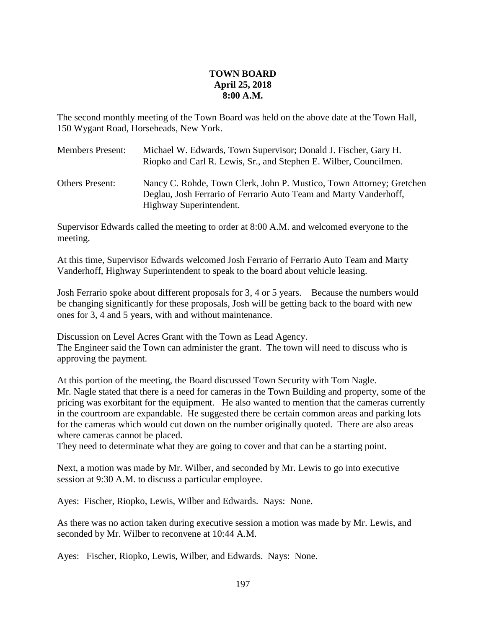## **TOWN BOARD April 25, 2018 8:00 A.M.**

The second monthly meeting of the Town Board was held on the above date at the Town Hall, 150 Wygant Road, Horseheads, New York.

| <b>Members Present:</b> | Michael W. Edwards, Town Supervisor; Donald J. Fischer, Gary H.<br>Riopko and Carl R. Lewis, Sr., and Stephen E. Wilber, Councilmen.      |
|-------------------------|-------------------------------------------------------------------------------------------------------------------------------------------|
| <b>Others Present:</b>  | Nancy C. Rohde, Town Clerk, John P. Mustico, Town Attorney; Gretchen<br>Deglau, Josh Ferrario of Ferrario Auto Team and Marty Vanderhoff, |
|                         | Highway Superintendent.                                                                                                                   |

Supervisor Edwards called the meeting to order at 8:00 A.M. and welcomed everyone to the meeting.

At this time, Supervisor Edwards welcomed Josh Ferrario of Ferrario Auto Team and Marty Vanderhoff, Highway Superintendent to speak to the board about vehicle leasing.

Josh Ferrario spoke about different proposals for 3, 4 or 5 years. Because the numbers would be changing significantly for these proposals, Josh will be getting back to the board with new ones for 3, 4 and 5 years, with and without maintenance.

Discussion on Level Acres Grant with the Town as Lead Agency. The Engineer said the Town can administer the grant. The town will need to discuss who is approving the payment.

At this portion of the meeting, the Board discussed Town Security with Tom Nagle. Mr. Nagle stated that there is a need for cameras in the Town Building and property, some of the pricing was exorbitant for the equipment. He also wanted to mention that the cameras currently in the courtroom are expandable. He suggested there be certain common areas and parking lots for the cameras which would cut down on the number originally quoted. There are also areas where cameras cannot be placed.

They need to determinate what they are going to cover and that can be a starting point.

Next, a motion was made by Mr. Wilber, and seconded by Mr. Lewis to go into executive session at 9:30 A.M. to discuss a particular employee.

Ayes: Fischer, Riopko, Lewis, Wilber and Edwards. Nays: None.

As there was no action taken during executive session a motion was made by Mr. Lewis, and seconded by Mr. Wilber to reconvene at 10:44 A.M.

Ayes: Fischer, Riopko, Lewis, Wilber, and Edwards. Nays: None.